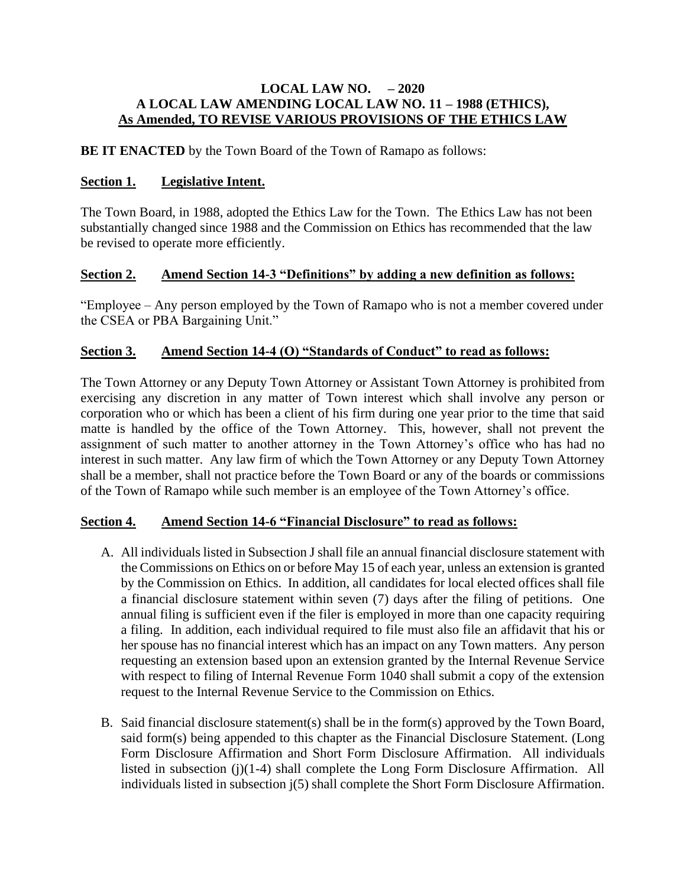#### **LOCAL LAW NO. – 2020 A LOCAL LAW AMENDING LOCAL LAW NO. 11 – 1988 (ETHICS), As Amended, TO REVISE VARIOUS PROVISIONS OF THE ETHICS LAW**

**BE IT ENACTED** by the Town Board of the Town of Ramapo as follows:

## **Section 1. Legislative Intent.**

The Town Board, in 1988, adopted the Ethics Law for the Town. The Ethics Law has not been substantially changed since 1988 and the Commission on Ethics has recommended that the law be revised to operate more efficiently.

## **Section 2. Amend Section 14-3 "Definitions" by adding a new definition as follows:**

"Employee – Any person employed by the Town of Ramapo who is not a member covered under the CSEA or PBA Bargaining Unit."

## **Section 3. Amend Section 14-4 (O) "Standards of Conduct" to read as follows:**

The Town Attorney or any Deputy Town Attorney or Assistant Town Attorney is prohibited from exercising any discretion in any matter of Town interest which shall involve any person or corporation who or which has been a client of his firm during one year prior to the time that said matte is handled by the office of the Town Attorney. This, however, shall not prevent the assignment of such matter to another attorney in the Town Attorney's office who has had no interest in such matter. Any law firm of which the Town Attorney or any Deputy Town Attorney shall be a member, shall not practice before the Town Board or any of the boards or commissions of the Town of Ramapo while such member is an employee of the Town Attorney's office.

#### **Section 4. Amend Section 14-6 "Financial Disclosure" to read as follows:**

- A. All individuals listed in Subsection J shall file an annual financial disclosure statement with the Commissions on Ethics on or before May 15 of each year, unless an extension is granted by the Commission on Ethics. In addition, all candidates for local elected offices shall file a financial disclosure statement within seven (7) days after the filing of petitions. One annual filing is sufficient even if the filer is employed in more than one capacity requiring a filing. In addition, each individual required to file must also file an affidavit that his or her spouse has no financial interest which has an impact on any Town matters. Any person requesting an extension based upon an extension granted by the Internal Revenue Service with respect to filing of Internal Revenue Form 1040 shall submit a copy of the extension request to the Internal Revenue Service to the Commission on Ethics.
- B. Said financial disclosure statement(s) shall be in the form(s) approved by the Town Board, said form(s) being appended to this chapter as the Financial Disclosure Statement. (Long Form Disclosure Affirmation and Short Form Disclosure Affirmation. All individuals listed in subsection (j)(1-4) shall complete the Long Form Disclosure Affirmation. All individuals listed in subsection j(5) shall complete the Short Form Disclosure Affirmation.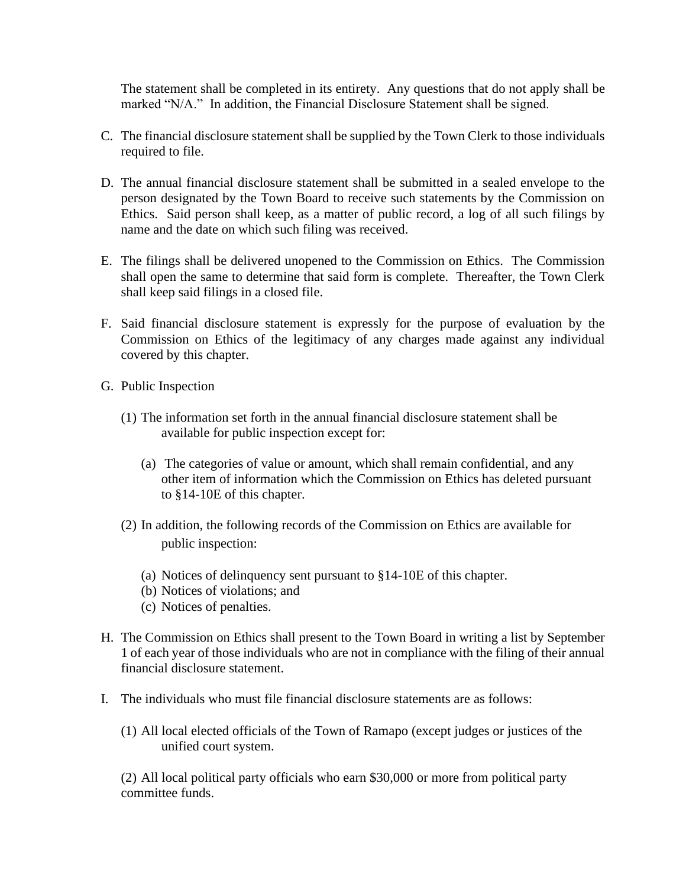The statement shall be completed in its entirety. Any questions that do not apply shall be marked "N/A." In addition, the Financial Disclosure Statement shall be signed.

- C. The financial disclosure statement shall be supplied by the Town Clerk to those individuals required to file.
- D. The annual financial disclosure statement shall be submitted in a sealed envelope to the person designated by the Town Board to receive such statements by the Commission on Ethics. Said person shall keep, as a matter of public record, a log of all such filings by name and the date on which such filing was received.
- E. The filings shall be delivered unopened to the Commission on Ethics. The Commission shall open the same to determine that said form is complete. Thereafter, the Town Clerk shall keep said filings in a closed file.
- F. Said financial disclosure statement is expressly for the purpose of evaluation by the Commission on Ethics of the legitimacy of any charges made against any individual covered by this chapter.
- G. Public Inspection
	- (1) The information set forth in the annual financial disclosure statement shall be available for public inspection except for:
		- (a) The categories of value or amount, which shall remain confidential, and any other item of information which the Commission on Ethics has deleted pursuant to §14-10E of this chapter.
	- (2) In addition, the following records of the Commission on Ethics are available for public inspection:
		- (a) Notices of delinquency sent pursuant to §14-10E of this chapter.
		- (b) Notices of violations; and
		- (c) Notices of penalties.
- H. The Commission on Ethics shall present to the Town Board in writing a list by September 1 of each year of those individuals who are not in compliance with the filing of their annual financial disclosure statement.
- I. The individuals who must file financial disclosure statements are as follows:
	- (1) All local elected officials of the Town of Ramapo (except judges or justices of the unified court system.

(2) All local political party officials who earn \$30,000 or more from political party committee funds.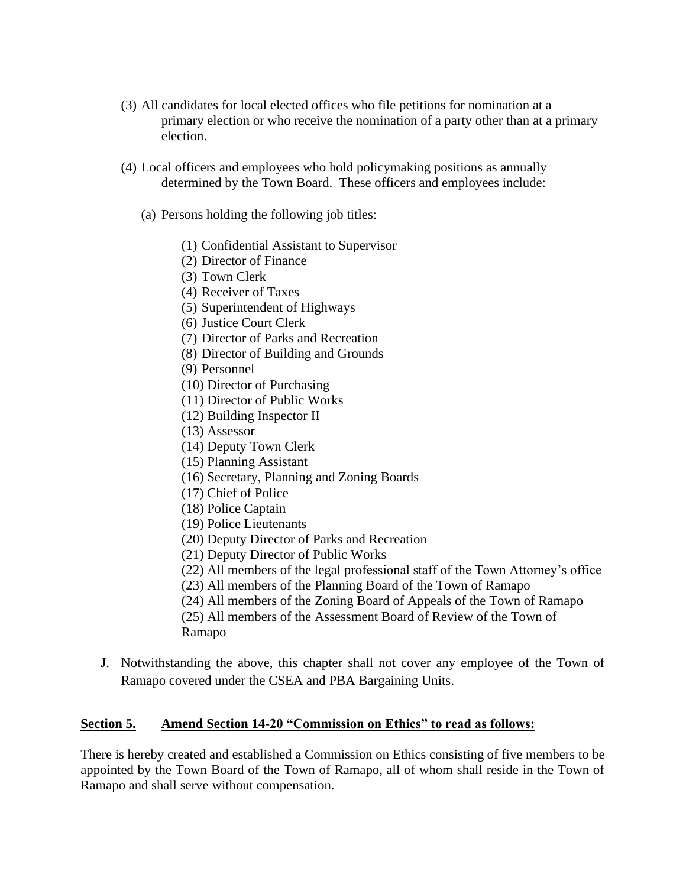- (3) All candidates for local elected offices who file petitions for nomination at a primary election or who receive the nomination of a party other than at a primary election.
- (4) Local officers and employees who hold policymaking positions as annually determined by the Town Board. These officers and employees include:
	- (a) Persons holding the following job titles:
		- (1) Confidential Assistant to Supervisor
		- (2) Director of Finance
		- (3) Town Clerk
		- (4) Receiver of Taxes
		- (5) Superintendent of Highways
		- (6) Justice Court Clerk
		- (7) Director of Parks and Recreation
		- (8) Director of Building and Grounds
		- (9) Personnel
		- (10) Director of Purchasing
		- (11) Director of Public Works
		- (12) Building Inspector II
		- (13) Assessor
		- (14) Deputy Town Clerk
		- (15) Planning Assistant
		- (16) Secretary, Planning and Zoning Boards
		- (17) Chief of Police
		- (18) Police Captain
		- (19) Police Lieutenants
		- (20) Deputy Director of Parks and Recreation
		- (21) Deputy Director of Public Works
		- (22) All members of the legal professional staff of the Town Attorney's office
		- (23) All members of the Planning Board of the Town of Ramapo
		- (24) All members of the Zoning Board of Appeals of the Town of Ramapo

(25) All members of the Assessment Board of Review of the Town of Ramapo

J. Notwithstanding the above, this chapter shall not cover any employee of the Town of Ramapo covered under the CSEA and PBA Bargaining Units.

# **Section 5. Amend Section 14-20 "Commission on Ethics" to read as follows:**

There is hereby created and established a Commission on Ethics consisting of five members to be appointed by the Town Board of the Town of Ramapo, all of whom shall reside in the Town of Ramapo and shall serve without compensation.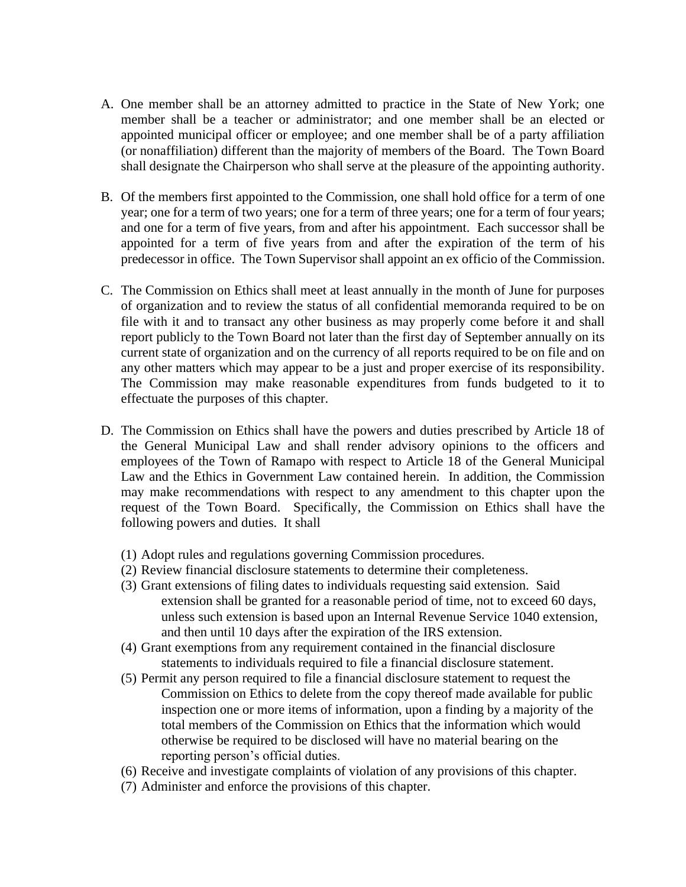- A. One member shall be an attorney admitted to practice in the State of New York; one member shall be a teacher or administrator; and one member shall be an elected or appointed municipal officer or employee; and one member shall be of a party affiliation (or nonaffiliation) different than the majority of members of the Board. The Town Board shall designate the Chairperson who shall serve at the pleasure of the appointing authority.
- B. Of the members first appointed to the Commission, one shall hold office for a term of one year; one for a term of two years; one for a term of three years; one for a term of four years; and one for a term of five years, from and after his appointment. Each successor shall be appointed for a term of five years from and after the expiration of the term of his predecessor in office. The Town Supervisor shall appoint an ex officio of the Commission.
- C. The Commission on Ethics shall meet at least annually in the month of June for purposes of organization and to review the status of all confidential memoranda required to be on file with it and to transact any other business as may properly come before it and shall report publicly to the Town Board not later than the first day of September annually on its current state of organization and on the currency of all reports required to be on file and on any other matters which may appear to be a just and proper exercise of its responsibility. The Commission may make reasonable expenditures from funds budgeted to it to effectuate the purposes of this chapter.
- D. The Commission on Ethics shall have the powers and duties prescribed by Article 18 of the General Municipal Law and shall render advisory opinions to the officers and employees of the Town of Ramapo with respect to Article 18 of the General Municipal Law and the Ethics in Government Law contained herein. In addition, the Commission may make recommendations with respect to any amendment to this chapter upon the request of the Town Board. Specifically, the Commission on Ethics shall have the following powers and duties. It shall
	- (1) Adopt rules and regulations governing Commission procedures.
	- (2) Review financial disclosure statements to determine their completeness.
	- (3) Grant extensions of filing dates to individuals requesting said extension. Said extension shall be granted for a reasonable period of time, not to exceed 60 days, unless such extension is based upon an Internal Revenue Service 1040 extension, and then until 10 days after the expiration of the IRS extension.
	- (4) Grant exemptions from any requirement contained in the financial disclosure statements to individuals required to file a financial disclosure statement.
	- (5) Permit any person required to file a financial disclosure statement to request the Commission on Ethics to delete from the copy thereof made available for public inspection one or more items of information, upon a finding by a majority of the total members of the Commission on Ethics that the information which would otherwise be required to be disclosed will have no material bearing on the reporting person's official duties.
	- (6) Receive and investigate complaints of violation of any provisions of this chapter.
	- (7) Administer and enforce the provisions of this chapter.